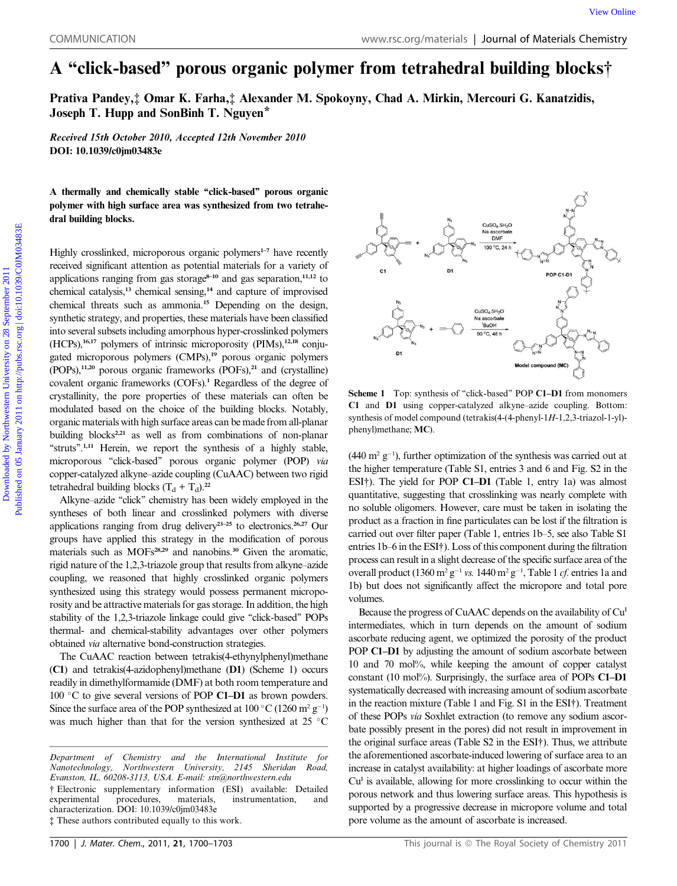## A ''click-based'' porous organic polymer from tetrahedral building blocks†

Prativa Pandey,‡ Omar K. Farha,‡ Alexander M. Spokoyny, Chad A. Mirkin, Mercouri G. Kanatzidis, Joseph T. Hupp and SonBinh T. Nguyen\*

Received 15th October 2010, Accepted 12th November 2010 DOI: 10.1039/c0jm03483e

A thermally and chemically stable ''click-based'' porous organic polymer with high surface area was synthesized from two tetrahedral building blocks.

Highly crosslinked, microporous organic polymers<sup>1-7</sup> have recently received significant attention as potential materials for a variety of applications ranging from gas storage $8-10$  and gas separation, $11,12$  to chemical catalysis,<sup>13</sup> chemical sensing,<sup>14</sup> and capture of improvised chemical threats such as ammonia.<sup>15</sup> Depending on the design, synthetic strategy, and properties, these materials have been classified into several subsets including amorphous hyper-crosslinked polymers  $(HCPs)$ ,<sup>16,17</sup> polymers of intrinsic microporosity (PIMs),<sup>12,18</sup> conjugated microporous polymers (CMPs),<sup>19</sup> porous organic polymers  $(POPs)$ ,<sup>11,20</sup> porous organic frameworks  $(POFs)$ ,<sup>21</sup> and (crystalline) covalent organic frameworks (COFs).<sup>1</sup> Regardless of the degree of crystallinity, the pore properties of these materials can often be modulated based on the choice of the building blocks. Notably, organic materials with high surface areas can be made from all-planar building blocks<sup>2,21</sup> as well as from combinations of non-planar "struts".<sup>1,11</sup> Herein, we report the synthesis of a highly stable, microporous "click-based" porous organic polymer (POP) via copper-catalyzed alkyne–azide coupling (CuAAC) between two rigid tetrahedral building blocks  $(T_d + T_d)$ .<sup>22</sup> COMMUNICATION www.sc.org/inntendials | Journal of Materials Chemistry<br>
A "elicite-bassed" porous organic polymer from tetrahedral building blocks;<br>
Paratia Pandey, J Omar K. Farha, 4 Alexander M. Spokovny, Chad A. Mirkin,

Alkyne–azide "click" chemistry has been widely employed in the syntheses of both linear and crosslinked polymers with diverse applications ranging from drug delivery<sup>23-25</sup> to electronics.<sup>26,27</sup> Our groups have applied this strategy in the modification of porous materials such as MOFs<sup>28,29</sup> and nanobins.<sup>30</sup> Given the aromatic, rigid nature of the 1,2,3-triazole group that results from alkyne–azide coupling, we reasoned that highly crosslinked organic polymers synthesized using this strategy would possess permanent microporosity and be attractive materials for gas storage. In addition, the high stability of the 1,2,3-triazole linkage could give ''click-based'' POPs thermal- and chemical-stability advantages over other polymers obtained via alternative bond-construction strategies.

The CuAAC reaction between tetrakis(4-ethynylphenyl)methane (C1) and tetrakis(4-azidophenyl)methane (D1) (Scheme 1) occurs readily in dimethylformamide (DMF) at both room temperature and 100 °C to give several versions of POP C1-D1 as brown powders. Since the surface area of the POP synthesized at  $100\degree C (1260\ m^2 g^{-1})$ was much higher than that for the version synthesized at 25  $\degree$ C



Scheme 1 Top: synthesis of "click-based" POP C1-D1 from monomers C1 and D1 using copper-catalyzed alkyne–azide coupling. Bottom: synthesis of model compound (tetrakis(4-(4-phenyl-1H-1,2,3-triazol-1-yl) phenyl)methane; MC).

 $(440 \text{ m}^2 \text{ g}^{-1})$ , further optimization of the synthesis was carried out at the higher temperature (Table S1, entries 3 and 6 and Fig. S2 in the ESI†). The yield for POP C1–D1 (Table 1, entry 1a) was almost quantitative, suggesting that crosslinking was nearly complete with no soluble oligomers. However, care must be taken in isolating the product as a fraction in fine particulates can be lost if the filtration is carried out over filter paper (Table 1, entries 1b–5, see also Table S1 entries 1b–6 in the ESI†). Loss of this component during the filtration process can result in a slight decrease of the specific surface area of the overall product  $(1360 \text{ m}^2 \text{ g}^{-1} \text{ vs. } 1440 \text{ m}^2 \text{ g}^{-1}$ , Table 1 *cf.* entries 1a and 1b) but does not significantly affect the micropore and total pore volumes.

Because the progress of CuAAC depends on the availability of Cu<sup>I</sup> intermediates, which in turn depends on the amount of sodium ascorbate reducing agent, we optimized the porosity of the product POP C1–D1 by adjusting the amount of sodium ascorbate between 10 and 70 mol%, while keeping the amount of copper catalyst constant (10 mol%). Surprisingly, the surface area of POPs C1–D1 systematically decreased with increasing amount of sodium ascorbate in the reaction mixture (Table 1 and Fig. S1 in the ESI†). Treatment of these POPs via Soxhlet extraction (to remove any sodium ascorbate possibly present in the pores) did not result in improvement in the original surface areas (Table S2 in the ESI†). Thus, we attribute the aforementioned ascorbate-induced lowering of surface area to an increase in catalyst availability: at higher loadings of ascorbate more  $Cu<sup>I</sup>$  is available, allowing for more crosslinking to occur within the porous network and thus lowering surface areas. This hypothesis is supported by a progressive decrease in micropore volume and total pore volume as the amount of ascorbate is increased.

Department of Chemistry and the International Institute for Nanotechnology, Northwestern University, 2145 Sheridan Road, Evanston, IL, 60208-3113, USA. E-mail: stn@northwestern.edu

<sup>†</sup> Electronic supplementary information (ESI) available: Detailed experimental procedures, materials, instrumentation, and characterization. DOI: 10.1039/c0jm03483e ‡ These authors contributed equally to this work.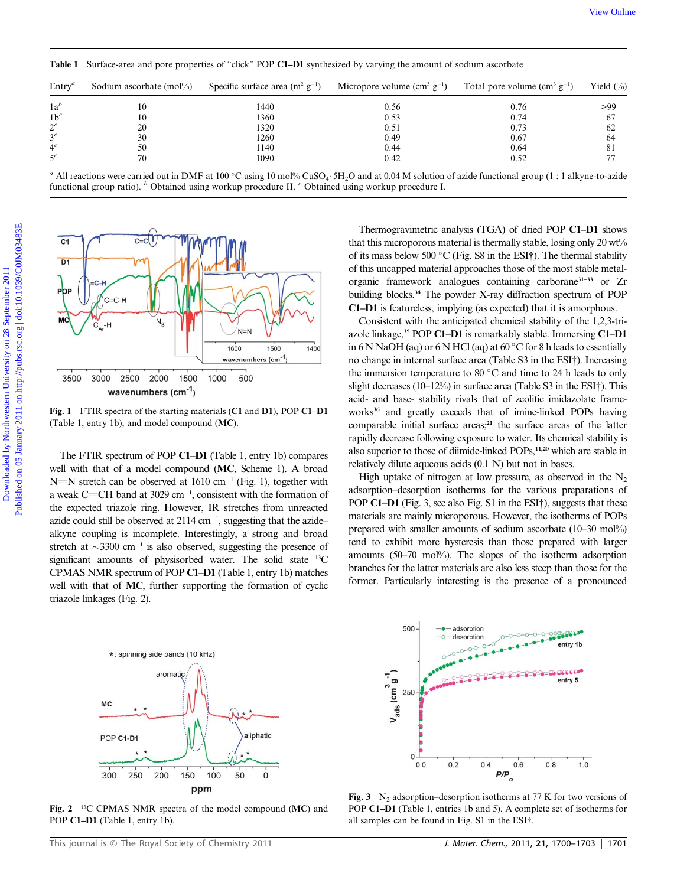| $\text{Entry}^a$ | Sodium ascorbate (mol%) | Specific surface area $(m^2 g^{-1})$ | Micropore volume $(cm3 g-1)$ | Total pore volume $(cm3 g-1)$ | Yield $(\%)$ |
|------------------|-------------------------|--------------------------------------|------------------------------|-------------------------------|--------------|
| $1a^b$           | 10                      | 1440                                 | 0.56                         | 0.76                          | >99          |
| $1b^c$           | 10                      | 1360                                 | 0.53                         | 0.74                          | 67           |
| $2^c$            | 20                      | 1320                                 | 0.51                         | 0.73                          | 62           |
| 3 <sup>c</sup>   | 30                      | 1260                                 | 0.49                         | 0.67                          | 64           |
| 4 <sup>c</sup>   | 50                      | 1140                                 | 0.44                         | 0.64                          | 81           |
|                  | 70                      | 1090                                 | 0.42                         | 0.52                          |              |

Table 1 Surface-area and pore properties of "click" POP C1–D1 synthesized by varying the amount of sodium ascorbate

<sup>a</sup> All reactions were carried out in DMF at 100 °C using 10 mol% CuSO<sub>4</sub>.5H<sub>2</sub>O and at 0.04 M solution of azide functional group (1 : 1 alkyne-to-azide functional group ratio). <sup>b</sup> Obtained using workup procedure II. <sup>c</sup> Obtained using workup procedure I.



Fig. 1 FTIR spectra of the starting materials (C1 and D1), POP C1–D1 (Table 1, entry 1b), and model compound (MC).

The FTIR spectrum of POP C1–D1 (Table 1, entry 1b) compares well with that of a model compound (MC, Scheme 1). A broad N=N stretch can be observed at 1610 cm<sup>-1</sup> (Fig. 1), together with a weak C=CH band at  $3029 \text{ cm}^{-1}$ , consistent with the formation of the expected triazole ring. However, IR stretches from unreacted azide could still be observed at  $2114 \text{ cm}^{-1}$ , suggesting that the azide– alkyne coupling is incomplete. Interestingly, a strong and broad stretch at  $\sim$ 3300 cm<sup>-1</sup> is also observed, suggesting the presence of significant amounts of physisorbed water. The solid state <sup>13</sup>C CPMAS NMR spectrum of POP C1–D1 (Table 1, entry 1b) matches well with that of MC, further supporting the formation of cyclic triazole linkages (Fig. 2).



Fig. 2 <sup>13</sup>C CPMAS NMR spectra of the model compound (MC) and POP C1-D1 (Table 1, entry 1b).

Thermogravimetric analysis (TGA) of dried POP C1–D1 shows that this microporous material is thermally stable, losing only 20 wt% of its mass below 500 °C (Fig. S8 in the ESI†). The thermal stability of this uncapped material approaches those of the most stable metalorganic framework analogues containing carborane31–33 or Zr building blocks.<sup>34</sup> The powder X-ray diffraction spectrum of POP C1–D1 is featureless, implying (as expected) that it is amorphous.

Consistent with the anticipated chemical stability of the 1,2,3-triazole linkage,<sup>35</sup> POP C1–D1 is remarkably stable. Immersing C1–D1 in 6 N NaOH (aq) or 6 N HCl (aq) at  $60^{\circ}$ C for 8 h leads to essentially no change in internal surface area (Table S3 in the ESI†). Increasing the immersion temperature to 80 $\degree$ C and time to 24 h leads to only slight decreases (10–12%) in surface area (Table S3 in the ESI†). This acid- and base- stability rivals that of zeolitic imidazolate frameworks<sup>36</sup> and greatly exceeds that of imine-linked POPs having comparable initial surface areas;<sup>21</sup> the surface areas of the latter rapidly decrease following exposure to water. Its chemical stability is also superior to those of diimide-linked POPs,<sup>11,20</sup> which are stable in relatively dilute aqueous acids (0.1 N) but not in bases.

High uptake of nitrogen at low pressure, as observed in the  $N_2$ adsorption–desorption isotherms for the various preparations of POP C1–D1 (Fig. 3, see also Fig. S1 in the ESI†), suggests that these materials are mainly microporous. However, the isotherms of POPs prepared with smaller amounts of sodium ascorbate (10–30 mol%) tend to exhibit more hysteresis than those prepared with larger amounts (50–70 mol%). The slopes of the isotherm adsorption branches for the latter materials are also less steep than those for the former. Particularly interesting is the presence of a pronounced



Fig. 3  $N_2$  adsorption–desorption isotherms at 77 K for two versions of POP C1–D1 (Table 1, entries 1b and 5). A complete set of isotherms for all samples can be found in Fig. S1 in the ESI†.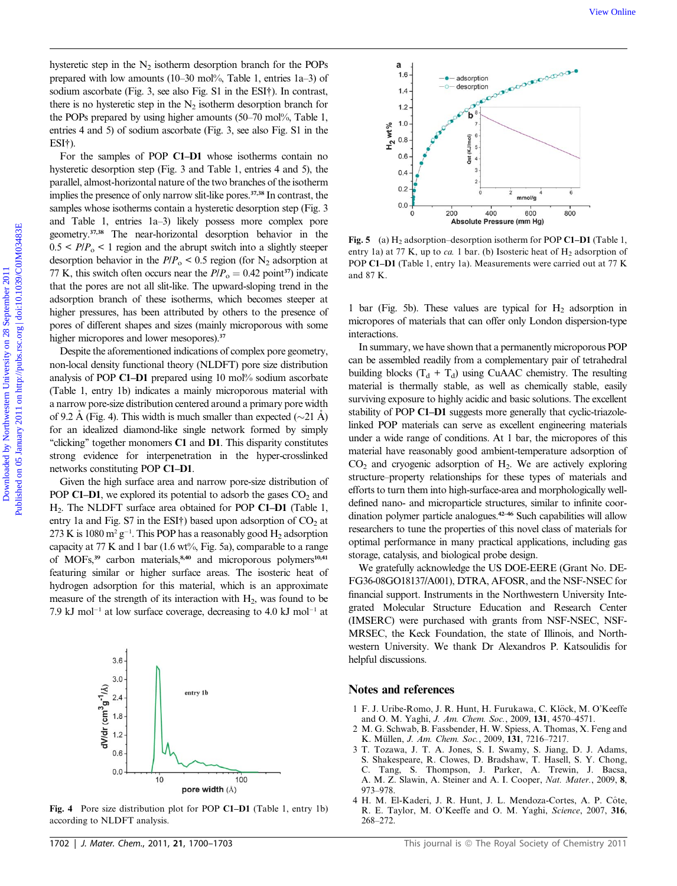hysteretic step in the  $N<sub>2</sub>$  isotherm desorption branch for the POPs prepared with low amounts (10–30 mol%, Table 1, entries 1a–3) of sodium ascorbate (Fig. 3, see also Fig. S1 in the ESI†). In contrast, there is no hysteretic step in the  $N_2$  isotherm desorption branch for the POPs prepared by using higher amounts (50–70 mol%, Table 1, entries 4 and 5) of sodium ascorbate (Fig. 3, see also Fig. S1 in the ESI†).

For the samples of POP C1–D1 whose isotherms contain no hysteretic desorption step (Fig. 3 and Table 1, entries 4 and 5), the parallel, almost-horizontal nature of the two branches of the isotherm implies the presence of only narrow slit-like pores.37,38 In contrast, the samples whose isotherms contain a hysteretic desorption step (Fig. 3) and Table 1, entries 1a–3) likely possess more complex pore geometry.37,38 The near-horizontal desorption behavior in the  $0.5 < P/P_{o} < 1$  region and the abrupt switch into a slightly steeper desorption behavior in the  $P/P_{o}$  < 0.5 region (for N<sub>2</sub> adsorption at 77 K, this switch often occurs near the  $P/P<sub>o</sub> = 0.42$  point<sup>37</sup>) indicate that the pores are not all slit-like. The upward-sloping trend in the adsorption branch of these isotherms, which becomes steeper at higher pressures, has been attributed by others to the presence of pores of different shapes and sizes (mainly microporous with some higher micropores and lower mesopores).<sup>37</sup> By stern in the N<sub>2</sub> is the term theoretic branch for the POP.<br>
propagation with the analysis of the Davis Davis Davis Davis Davis Davis Davis Davis Davis Davis Davis Davis Davis Davis Davis Davis Davis Davis Davis Davis

Despite the aforementioned indications of complex pore geometry, non-local density functional theory (NLDFT) pore size distribution analysis of POP C1–D1 prepared using 10 mol% sodium ascorbate (Table 1, entry 1b) indicates a mainly microporous material with a narrow pore-size distribution centered around a primary pore width of 9.2 Å (Fig. 4). This width is much smaller than expected ( $\sim$ 21 Å) for an idealized diamond-like single network formed by simply "clicking" together monomers C1 and D1. This disparity constitutes strong evidence for interpenetration in the hyper-crosslinked networks constituting POP C1–D1.

Given the high surface area and narrow pore-size distribution of POP C1–D1, we explored its potential to adsorb the gases  $CO<sub>2</sub>$  and H2. The NLDFT surface area obtained for POP C1–D1 (Table 1, entry 1a and Fig. S7 in the ESI†) based upon adsorption of  $CO<sub>2</sub>$  at 273 K is 1080  $m^2 g^{-1}$ . This POP has a reasonably good  $H_2$  adsorption capacity at 77 K and 1 bar (1.6 wt%, Fig. 5a), comparable to a range of MOFs, $39$  carbon materials, $8,40$  and microporous polymers<sup>10,41</sup> featuring similar or higher surface areas. The isosteric heat of hydrogen adsorption for this material, which is an approximate measure of the strength of its interaction with  $H<sub>2</sub>$ , was found to be 7.9 kJ mol<sup>-1</sup> at low surface coverage, decreasing to 4.0 kJ mol<sup>-1</sup> at



Fig. 4 Pore size distribution plot for POP C1–D1 (Table 1, entry 1b) according to NLDFT analysis.



Fig. 5 (a)  $H_2$  adsorption–desorption isotherm for POP C1–D1 (Table 1, entry 1a) at 77 K, up to ca. 1 bar. (b) Isosteric heat of  $H_2$  adsorption of POP C1–D1 (Table 1, entry 1a). Measurements were carried out at 77 K and 87 K.

1 bar (Fig. 5b). These values are typical for  $H_2$  adsorption in micropores of materials that can offer only London dispersion-type interactions.

In summary, we have shown that a permanently microporous POP can be assembled readily from a complementary pair of tetrahedral building blocks  $(T_d + T_d)$  using CuAAC chemistry. The resulting material is thermally stable, as well as chemically stable, easily surviving exposure to highly acidic and basic solutions. The excellent stability of POP C1–D1 suggests more generally that cyclic-triazolelinked POP materials can serve as excellent engineering materials under a wide range of conditions. At 1 bar, the micropores of this material have reasonably good ambient-temperature adsorption of  $CO<sub>2</sub>$  and cryogenic adsorption of  $H<sub>2</sub>$ . We are actively exploring structure–property relationships for these types of materials and efforts to turn them into high-surface-area and morphologically welldefined nano- and microparticle structures, similar to infinite coordination polymer particle analogues.42–46 Such capabilities will allow researchers to tune the properties of this novel class of materials for optimal performance in many practical applications, including gas storage, catalysis, and biological probe design.

We gratefully acknowledge the US DOE-EERE (Grant No. DE-FG36-08GO18137/A001), DTRA, AFOSR, and the NSF-NSEC for financial support. Instruments in the Northwestern University Integrated Molecular Structure Education and Research Center (IMSERC) were purchased with grants from NSF-NSEC, NSF-MRSEC, the Keck Foundation, the state of Illinois, and Northwestern University. We thank Dr Alexandros P. Katsoulidis for helpful discussions.

## Notes and references

- 1 F. J. Uribe-Romo, J. R. Hunt, H. Furukawa, C. Klöck, M. O'Keeffe and O. M. Yaghi, J. Am. Chem. Soc., 2009, 131, 4570–4571.
- 2 M. G. Schwab, B. Fassbender, H. W. Spiess, A. Thomas, X. Feng and K. Müllen, J. Am. Chem. Soc., 2009, 131, 7216-7217.
- 3 T. Tozawa, J. T. A. Jones, S. I. Swamy, S. Jiang, D. J. Adams, S. Shakespeare, R. Clowes, D. Bradshaw, T. Hasell, S. Y. Chong, C. Tang, S. Thompson, J. Parker, A. Trewin, J. Bacsa, A. M. Z. Slawin, A. Steiner and A. I. Cooper, Nat. Mater., 2009, 8, 973–978.
- 4 H. M. El-Kaderi, J. R. Hunt, J. L. Mendoza-Cortes, A. P. Cote, ^ R. E. Taylor, M. O'Keeffe and O. M. Yaghi, Science, 2007, 316, 268–272.